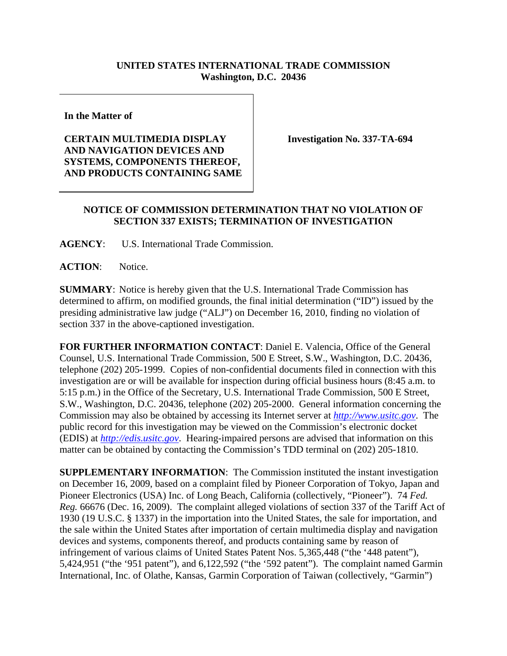## **UNITED STATES INTERNATIONAL TRADE COMMISSION Washington, D.C. 20436**

**In the Matter of** 

## **CERTAIN MULTIMEDIA DISPLAY AND NAVIGATION DEVICES AND SYSTEMS, COMPONENTS THEREOF, AND PRODUCTS CONTAINING SAME**

**Investigation No. 337-TA-694** 

## **NOTICE OF COMMISSION DETERMINATION THAT NO VIOLATION OF SECTION 337 EXISTS; TERMINATION OF INVESTIGATION**

**AGENCY**: U.S. International Trade Commission.

**ACTION**: Notice.

**SUMMARY**: Notice is hereby given that the U.S. International Trade Commission has determined to affirm, on modified grounds, the final initial determination ("ID") issued by the presiding administrative law judge ("ALJ") on December 16, 2010, finding no violation of section 337 in the above-captioned investigation.

**FOR FURTHER INFORMATION CONTACT**: Daniel E. Valencia, Office of the General Counsel, U.S. International Trade Commission, 500 E Street, S.W., Washington, D.C. 20436, telephone (202) 205-1999. Copies of non-confidential documents filed in connection with this investigation are or will be available for inspection during official business hours (8:45 a.m. to 5:15 p.m.) in the Office of the Secretary, U.S. International Trade Commission, 500 E Street, S.W., Washington, D.C. 20436, telephone (202) 205-2000. General information concerning the Commission may also be obtained by accessing its Internet server at *http://www.usitc.gov*. The public record for this investigation may be viewed on the Commission's electronic docket (EDIS) at *http://edis.usitc.gov*. Hearing-impaired persons are advised that information on this matter can be obtained by contacting the Commission's TDD terminal on (202) 205-1810.

**SUPPLEMENTARY INFORMATION**: The Commission instituted the instant investigation on December 16, 2009, based on a complaint filed by Pioneer Corporation of Tokyo, Japan and Pioneer Electronics (USA) Inc. of Long Beach, California (collectively, "Pioneer"). 74 *Fed. Reg.* 66676 (Dec. 16, 2009). The complaint alleged violations of section 337 of the Tariff Act of 1930 (19 U.S.C. § 1337) in the importation into the United States, the sale for importation, and the sale within the United States after importation of certain multimedia display and navigation devices and systems, components thereof, and products containing same by reason of infringement of various claims of United States Patent Nos. 5,365,448 ("the '448 patent"), 5,424,951 ("the '951 patent"), and 6,122,592 ("the '592 patent"). The complaint named Garmin International, Inc. of Olathe, Kansas, Garmin Corporation of Taiwan (collectively, "Garmin")